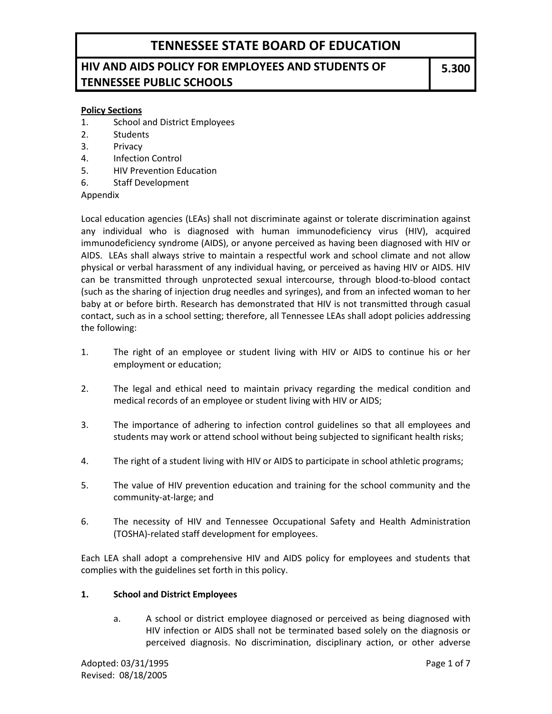### **HIV AND AIDS POLICY FOR EMPLOYEES AND STUDENTS OF TENNESSEE PUBLIC SCHOOLS**

#### **Policy Sections**

- 1. School and District Employees
- 2. Students
- 3. Privacy
- 4. Infection Control
- 5. HIV Prevention Education
- 6. Staff Development

Appendix

Local education agencies (LEAs) shall not discriminate against or tolerate discrimination against any individual who is diagnosed with human immunodeficiency virus (HIV), acquired immunodeficiency syndrome (AIDS), or anyone perceived as having been diagnosed with HIV or AIDS. LEAs shall always strive to maintain a respectful work and school climate and not allow physical or verbal harassment of any individual having, or perceived as having HIV or AIDS. HIV can be transmitted through unprotected sexual intercourse, through blood-to-blood contact (such as the sharing of injection drug needles and syringes), and from an infected woman to her baby at or before birth. Research has demonstrated that HIV is not transmitted through casual contact, such as in a school setting; therefore, all Tennessee LEAs shall adopt policies addressing the following:

- 1. The right of an employee or student living with HIV or AIDS to continue his or her employment or education;
- 2. The legal and ethical need to maintain privacy regarding the medical condition and medical records of an employee or student living with HIV or AIDS;
- 3. The importance of adhering to infection control guidelines so that all employees and students may work or attend school without being subjected to significant health risks;
- 4. The right of a student living with HIV or AIDS to participate in school athletic programs;
- 5. The value of HIV prevention education and training for the school community and the community-at-large; and
- 6. The necessity of HIV and Tennessee Occupational Safety and Health Administration (TOSHA)-related staff development for employees.

Each LEA shall adopt a comprehensive HIV and AIDS policy for employees and students that complies with the guidelines set forth in this policy.

#### **1. School and District Employees**

a. A school or district employee diagnosed or perceived as being diagnosed with HIV infection or AIDS shall not be terminated based solely on the diagnosis or perceived diagnosis. No discrimination, disciplinary action, or other adverse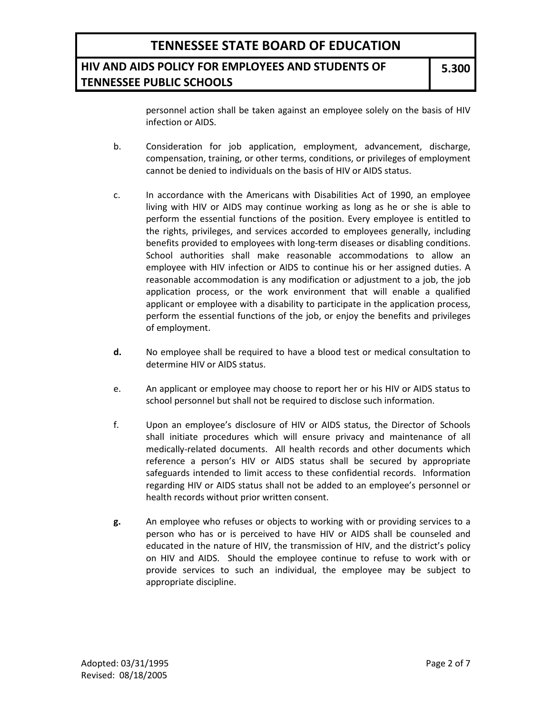### **HIV AND AIDS POLICY FOR EMPLOYEES AND STUDENTS OF TENNESSEE PUBLIC SCHOOLS**

personnel action shall be taken against an employee solely on the basis of HIV infection or AIDS.

- b. Consideration for job application, employment, advancement, discharge, compensation, training, or other terms, conditions, or privileges of employment cannot be denied to individuals on the basis of HIV or AIDS status.
- c. In accordance with the Americans with Disabilities Act of 1990, an employee living with HIV or AIDS may continue working as long as he or she is able to perform the essential functions of the position. Every employee is entitled to the rights, privileges, and services accorded to employees generally, including benefits provided to employees with long-term diseases or disabling conditions. School authorities shall make reasonable accommodations to allow an employee with HIV infection or AIDS to continue his or her assigned duties. A reasonable accommodation is any modification or adjustment to a job, the job application process, or the work environment that will enable a qualified applicant or employee with a disability to participate in the application process, perform the essential functions of the job, or enjoy the benefits and privileges of employment.
- **d.** No employee shall be required to have a blood test or medical consultation to determine HIV or AIDS status.
- e. An applicant or employee may choose to report her or his HIV or AIDS status to school personnel but shall not be required to disclose such information.
- f. Upon an employee's disclosure of HIV or AIDS status, the Director of Schools shall initiate procedures which will ensure privacy and maintenance of all medically-related documents. All health records and other documents which reference a person's HIV or AIDS status shall be secured by appropriate safeguards intended to limit access to these confidential records. Information regarding HIV or AIDS status shall not be added to an employee's personnel or health records without prior written consent.
- **g.** An employee who refuses or objects to working with or providing services to a person who has or is perceived to have HIV or AIDS shall be counseled and educated in the nature of HIV, the transmission of HIV, and the district's policy on HIV and AIDS. Should the employee continue to refuse to work with or provide services to such an individual, the employee may be subject to appropriate discipline.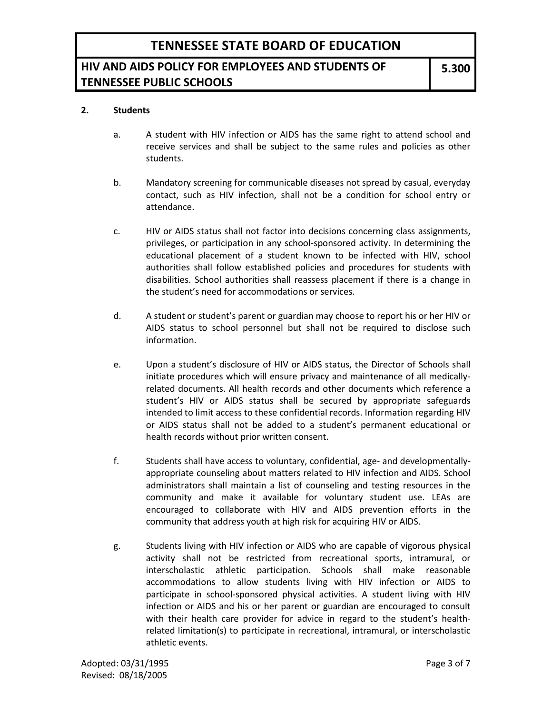## **HIV AND AIDS POLICY FOR EMPLOYEES AND STUDENTS OF TENNESSEE PUBLIC SCHOOLS**

#### **2. Students**

- a. A student with HIV infection or AIDS has the same right to attend school and receive services and shall be subject to the same rules and policies as other students.
- b. Mandatory screening for communicable diseases not spread by casual, everyday contact, such as HIV infection, shall not be a condition for school entry or attendance.
- c. HIV or AIDS status shall not factor into decisions concerning class assignments, privileges, or participation in any school-sponsored activity. In determining the educational placement of a student known to be infected with HIV, school authorities shall follow established policies and procedures for students with disabilities. School authorities shall reassess placement if there is a change in the student's need for accommodations or services.
- d. A student or student's parent or guardian may choose to report his or her HIV or AIDS status to school personnel but shall not be required to disclose such information.
- e. Upon a student's disclosure of HIV or AIDS status, the Director of Schools shall initiate procedures which will ensure privacy and maintenance of all medicallyrelated documents. All health records and other documents which reference a student's HIV or AIDS status shall be secured by appropriate safeguards intended to limit access to these confidential records. Information regarding HIV or AIDS status shall not be added to a student's permanent educational or health records without prior written consent.
- f. Students shall have access to voluntary, confidential, age- and developmentallyappropriate counseling about matters related to HIV infection and AIDS. School administrators shall maintain a list of counseling and testing resources in the community and make it available for voluntary student use. LEAs are encouraged to collaborate with HIV and AIDS prevention efforts in the community that address youth at high risk for acquiring HIV or AIDS.
- g. Students living with HIV infection or AIDS who are capable of vigorous physical activity shall not be restricted from recreational sports, intramural, or interscholastic athletic participation. Schools shall make reasonable accommodations to allow students living with HIV infection or AIDS to participate in school-sponsored physical activities. A student living with HIV infection or AIDS and his or her parent or guardian are encouraged to consult with their health care provider for advice in regard to the student's healthrelated limitation(s) to participate in recreational, intramural, or interscholastic athletic events.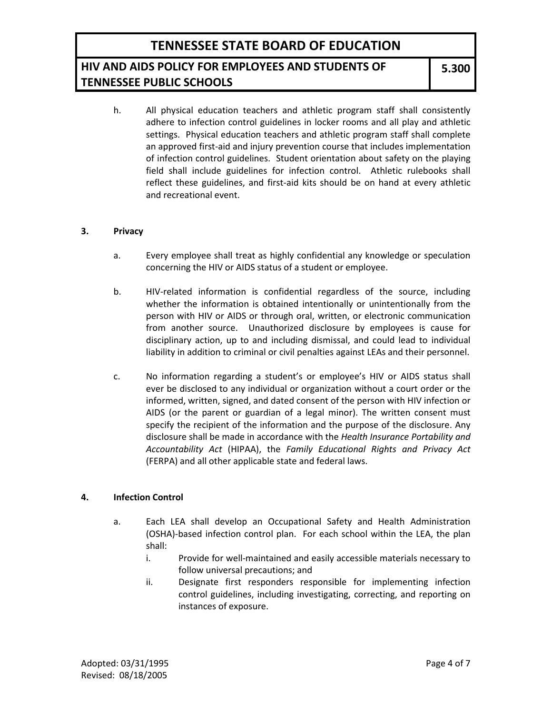## **HIV AND AIDS POLICY FOR EMPLOYEES AND STUDENTS OF TENNESSEE PUBLIC SCHOOLS**

h. All physical education teachers and athletic program staff shall consistently adhere to infection control guidelines in locker rooms and all play and athletic settings. Physical education teachers and athletic program staff shall complete an approved first-aid and injury prevention course that includes implementation of infection control guidelines. Student orientation about safety on the playing field shall include guidelines for infection control. Athletic rulebooks shall reflect these guidelines, and first-aid kits should be on hand at every athletic and recreational event.

#### **3. Privacy**

- a. Every employee shall treat as highly confidential any knowledge or speculation concerning the HIV or AIDS status of a student or employee.
- b. HIV-related information is confidential regardless of the source, including whether the information is obtained intentionally or unintentionally from the person with HIV or AIDS or through oral, written, or electronic communication from another source. Unauthorized disclosure by employees is cause for disciplinary action, up to and including dismissal, and could lead to individual liability in addition to criminal or civil penalties against LEAs and their personnel.
- c. No information regarding a student's or employee's HIV or AIDS status shall ever be disclosed to any individual or organization without a court order or the informed, written, signed, and dated consent of the person with HIV infection or AIDS (or the parent or guardian of a legal minor). The written consent must specify the recipient of the information and the purpose of the disclosure. Any disclosure shall be made in accordance with the *Health Insurance Portability and Accountability Act* (HIPAA), the *Family Educational Rights and Privacy Act* (FERPA) and all other applicable state and federal laws.

#### **4. Infection Control**

- a. Each LEA shall develop an Occupational Safety and Health Administration (OSHA)-based infection control plan. For each school within the LEA, the plan shall:
	- i. Provide for well-maintained and easily accessible materials necessary to follow universal precautions; and
	- ii. Designate first responders responsible for implementing infection control guidelines, including investigating, correcting, and reporting on instances of exposure.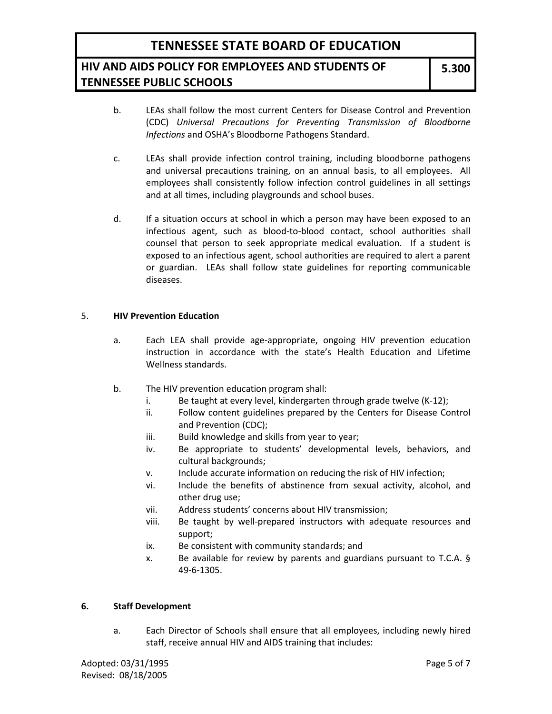### **HIV AND AIDS POLICY FOR EMPLOYEES AND STUDENTS OF TENNESSEE PUBLIC SCHOOLS**

**5.300**

- b. LEAs shall follow the most current Centers for Disease Control and Prevention (CDC) *Universal Precautions for Preventing Transmission of Bloodborne Infections* and OSHA's Bloodborne Pathogens Standard.
- c. LEAs shall provide infection control training, including bloodborne pathogens and universal precautions training, on an annual basis, to all employees. All employees shall consistently follow infection control guidelines in all settings and at all times, including playgrounds and school buses.
- d. If a situation occurs at school in which a person may have been exposed to an infectious agent, such as blood-to-blood contact, school authorities shall counsel that person to seek appropriate medical evaluation. If a student is exposed to an infectious agent, school authorities are required to alert a parent or guardian. LEAs shall follow state guidelines for reporting communicable diseases.

#### 5. **HIV Prevention Education**

- a. Each LEA shall provide age-appropriate, ongoing HIV prevention education instruction in accordance with the state's Health Education and Lifetime Wellness standards.
- b. The HIV prevention education program shall:
	- i. Be taught at every level, kindergarten through grade twelve (K-12);
	- ii. Follow content guidelines prepared by the Centers for Disease Control and Prevention (CDC);
	- iii. Build knowledge and skills from year to year;
	- iv. Be appropriate to students' developmental levels, behaviors, and cultural backgrounds;
	- v. Include accurate information on reducing the risk of HIV infection;
	- vi. Include the benefits of abstinence from sexual activity, alcohol, and other drug use;
	- vii. Address students' concerns about HIV transmission;
	- viii. Be taught by well-prepared instructors with adequate resources and support;
	- ix. Be consistent with community standards; and
	- x. Be available for review by parents and guardians pursuant to T.C.A. § 49-6-1305.

#### **6. Staff Development**

a. Each Director of Schools shall ensure that all employees, including newly hired staff, receive annual HIV and AIDS training that includes: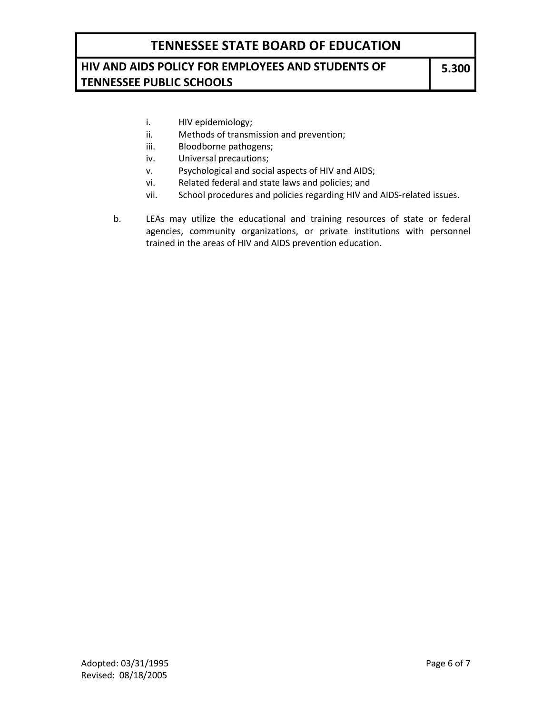### **HIV AND AIDS POLICY FOR EMPLOYEES AND STUDENTS OF TENNESSEE PUBLIC SCHOOLS**

- i. HIV epidemiology;
- ii. Methods of transmission and prevention;
- iii. Bloodborne pathogens;
- iv. Universal precautions;
- v. Psychological and social aspects of HIV and AIDS;
- vi. Related federal and state laws and policies; and
- vii. School procedures and policies regarding HIV and AIDS-related issues.
- b. LEAs may utilize the educational and training resources of state or federal agencies, community organizations, or private institutions with personnel trained in the areas of HIV and AIDS prevention education.